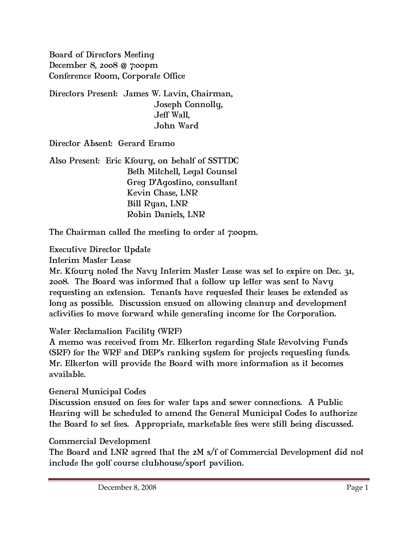Board of Directors Meeting December 8, 2008 @ 7:00pm Conference Room, Corporate Office

Directors Present: James W. Lavin, Chairman, Joseph Connolly, Jeff Wall, John Ward

Director Absent: Gerard Eramo

Also Present: Eric Kfoury, on behalf of SSTTDC Beth Mitchell, Legal Counsel Greg D'Agostino, consultant Kevin Chase, LNR Bill Ryan, LNR Robin Daniels, LNR

The Chairman called the meeting to order at 7:00pm.

Executive Director Update

Interim Master Lease

Mr. Kfoury noted the Navy Interim Master Lease was set to expire on Dec. 31, 2008. The Board was informed that a follow up letter was sent to Navy requesting an extension. Tenants have requested their leases be extended as long as possible. Discussion ensued on allowing cleanup and development activities to move forward while generating income for the Corporation.

Water Reclamation Facility (WRF)

A memo was received from Mr. Elkerton regarding State Revolving Funds (SRF) for the WRF and DEP's ranking system for projects requesting funds. Mr. Elkerton will provide the Board with more information as it becomes available.

General Municipal Codes

Discussion ensued on fees for water taps and sewer connections. A Public Hearing will be scheduled to amend the General Municipal Codes to authorize the Board to set fees. Appropriate, marketable fees were still being discussed.

Commercial Development

The Board and LNR agreed that the 2M s/f of Commercial Development did not include the golf course clubhouse/sport pavilion.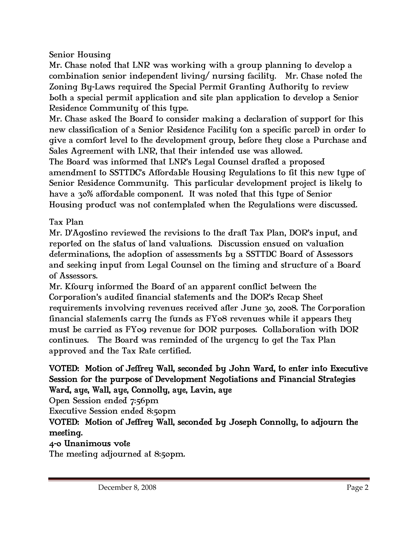## Senior Housing

Mr. Chase noted that LNR was working with a group planning to develop a combination senior independent living/ nursing facility. Mr. Chase noted the Zoning By-Laws required the Special Permit Granting Authority to review both a special permit application and site plan application to develop a Senior Residence Community of this type.

Mr. Chase asked the Board to consider making a declaration of support for this new classification of a Senior Residence Facility (on a specific parcel) in order to give a comfort level to the development group, before they close a Purchase and Sales Agreement with LNR, that their intended use was allowed.

The Board was informed that LNR's Legal Counsel drafted a proposed amendment to SSTTDC's Affordable Housing Regulations to fit this new type of Senior Residence Community. This particular development project is likely to have a 30% affordable component. It was noted that this type of Senior Housing product was not contemplated when the Regulations were discussed.

## Tax Plan

Mr. D'Agostino reviewed the revisions to the draft Tax Plan, DOR's input, and reported on the status of land valuations. Discussion ensued on valuation determinations, the adoption of assessments by a SSTTDC Board of Assessors and seeking input from Legal Counsel on the timing and structure of a Board of Assessors.

Mr. Kfoury informed the Board of an apparent conflict between the Corporation's audited financial statements and the DOR's Recap Sheet requirements involving revenues received after June 30, 2008. The Corporation financial statements carry the funds as FY08 revenues while it appears they must be carried as FY09 revenue for DOR purposes. Collaboration with DOR continues. The Board was reminded of the urgency to get the Tax Plan approved and the Tax Rate certified.

## VOTED: Motion of Jeffrey Wall, seconded by John Ward, to enter into Executive Session for the purpose of Development Negotiations and Financial Strategies Ward, aye, Wall, aye, Connolly, aye, Lavin, aye

Open Session ended 7:56pm

Executive Session ended 8:50pm

VOTED: Motion of Jeffrey Wall, seconded by Joseph Connolly, to adjourn the meeting.

## 4-0 Unanimous vote

The meeting adjourned at 8:50pm.